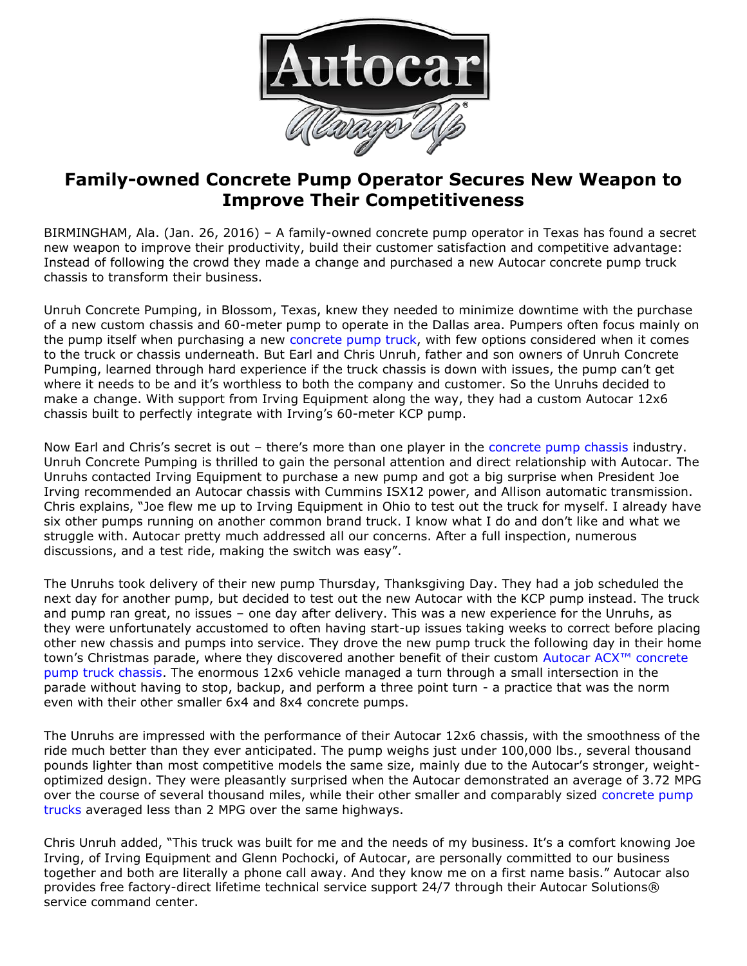

## **Family-owned Concrete Pump Operator Secures New Weapon to Improve Their Competitiveness**

BIRMINGHAM, Ala. (Jan. 26, 2016) – A family-owned concrete pump operator in Texas has found a secret new weapon to improve their productivity, build their customer satisfaction and competitive advantage: Instead of following the crowd they made a change and purchased a new Autocar concrete pump truck chassis to transform their business.

Unruh Concrete Pumping, in Blossom, Texas, knew they needed to minimize downtime with the purchase of a new custom chassis and 60-meter pump to operate in the Dallas area. Pumpers often focus mainly on the pump itself when purchasing a new [concrete pump truck,](http://autocartruck.com/concrete-pump-truck) with few options considered when it comes to the truck or chassis underneath. But Earl and Chris Unruh, father and son owners of Unruh Concrete Pumping, learned through hard experience if the truck chassis is down with issues, the pump can't get where it needs to be and it's worthless to both the company and customer. So the Unruhs decided to make a change. With support from Irving Equipment along the way, they had a custom Autocar 12x6 chassis built to perfectly integrate with Irving's 60-meter KCP pump.

Now Earl and Chris's secret is out – there's more than one player in the [concrete pump chassis](http://autocartruck.com/concrete-pump-truck) industry. Unruh Concrete Pumping is thrilled to gain the personal attention and direct relationship with Autocar. The Unruhs contacted Irving Equipment to purchase a new pump and got a big surprise when President Joe Irving recommended an Autocar chassis with Cummins ISX12 power, and Allison automatic transmission. Chris explains, "Joe flew me up to Irving Equipment in Ohio to test out the truck for myself. I already have six other pumps running on another common brand truck. I know what I do and don't like and what we struggle with. Autocar pretty much addressed all our concerns. After a full inspection, numerous discussions, and a test ride, making the switch was easy".

The Unruhs took delivery of their new pump Thursday, Thanksgiving Day. They had a job scheduled the next day for another pump, but decided to test out the new Autocar with the KCP pump instead. The truck and pump ran great, no issues – one day after delivery. This was a new experience for the Unruhs, as they were unfortunately accustomed to often having start-up issues taking weeks to correct before placing other new chassis and pumps into service. They drove the new pump truck the following day in their home town's Christmas parade, where they discovered another benefit of their custom Autocar ACX<sup>™</sup> concrete [pump truck chassis.](http://autocartruck.com/concrete-pump-truck) The enormous 12x6 vehicle managed a turn through a small intersection in the parade without having to stop, backup, and perform a three point turn - a practice that was the norm even with their other smaller 6x4 and 8x4 concrete pumps.

The Unruhs are impressed with the performance of their Autocar 12x6 chassis, with the smoothness of the ride much better than they ever anticipated. The pump weighs just under 100,000 lbs., several thousand pounds lighter than most competitive models the same size, mainly due to the Autocar's stronger, weightoptimized design. They were pleasantly surprised when the Autocar demonstrated an average of 3.72 MPG over the course of several thousand miles, while their other smaller and comparably sized [concrete pump](http://autocartruck.com/concrete-pump-truck)  [trucks](http://autocartruck.com/concrete-pump-truck) averaged less than 2 MPG over the same highways.

Chris Unruh added, "This truck was built for me and the needs of my business. It's a comfort knowing Joe Irving, of Irving Equipment and Glenn Pochocki, of Autocar, are personally committed to our business together and both are literally a phone call away. And they know me on a first name basis." Autocar also provides free factory-direct lifetime technical service support 24/7 through their Autocar Solutions® service command center.